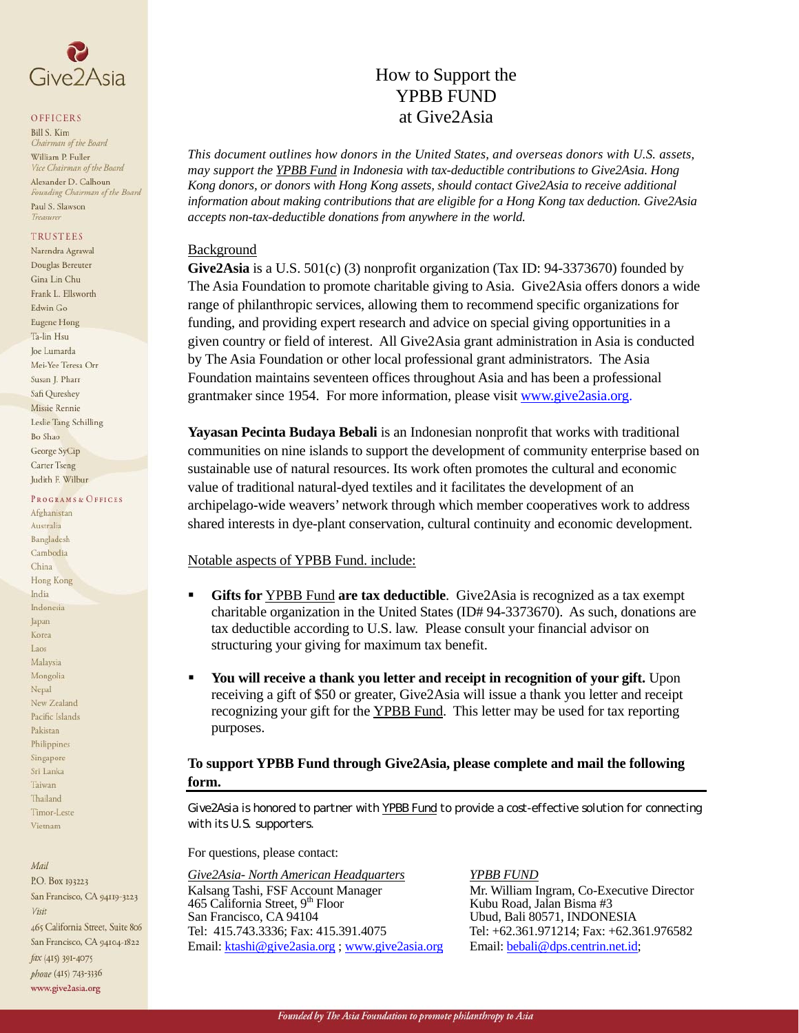

#### OFFICERS

**Bill S. Kim** Chairman of the Board William P. Fuller Vice Chairman of the Board Alexander D. Calhoun Founding Chairman of the Board Paul S. Slawson Treasurer

#### **TRUSTEES**

Narendra Agrawal Douglas Bereuter Gina Lin Chu Frank L. Ellsworth Edwin Go Eugene Hong Ta-lin Hsu Joe Lumarda Mei-Yee Teresa Orr Susan J. Pharr Safi Oureshev Missie Rennie Leslie Tang Schilling Bo Shao George SyCip **Carter Tseng** Judith F. Wilbur

#### PROGRAMS & OFFICES

Afghanistan Australia Bangladesh Cambodia China Hong Kong India Indonesia Japan Korea Laos Malaysia Mongolia Nepal New Zealand Pacific Islands Pakistan Philippines Singapore Sri Lanka Taiwan Thailand Timor-Leste Vietnam

#### Mail

P.O. Box 193223 San Francisco, CA 94119-3223 Visit 465 California Street, Suite 806 San Francisco, CA 94104-1822 fax (415) 391-4075 phone (415) 743-3336 www.give2asia.org

# How to Support the YPBB FUND at Give2Asia

*This document outlines how donors in the United States, and overseas donors with U.S. assets, may support the YPBB Fund in Indonesia with tax-deductible contributions to Give2Asia. Hong Kong donors, or donors with Hong Kong assets, should contact Give2Asia to receive additional information about making contributions that are eligible for a Hong Kong tax deduction. Give2Asia accepts non-tax-deductible donations from anywhere in the world.* 

### Background

**Give2Asia** is a U.S. 501(c) (3) nonprofit organization (Tax ID: 94-3373670) founded by The Asia Foundation to promote charitable giving to Asia. Give2Asia offers donors a wide range of philanthropic services, allowing them to recommend specific organizations for funding, and providing expert research and advice on special giving opportunities in a given country or field of interest. All Give2Asia grant administration in Asia is conducted by The Asia Foundation or other local professional grant administrators. The Asia Foundation maintains seventeen offices throughout Asia and has been a professional grantmaker since 1954. For more information, please visit www.give2asia.org.

**Yayasan Pecinta Budaya Bebali** is an Indonesian nonprofit that works with traditional communities on nine islands to support the development of community enterprise based on sustainable use of natural resources. Its work often promotes the cultural and economic value of traditional natural-dyed textiles and it facilitates the development of an archipelago-wide weavers' network through which member cooperatives work to address shared interests in dye-plant conservation, cultural continuity and economic development.

### Notable aspects of YPBB Fund. include:

- **Gifts for YPBB Fund are tax deductible.** Give2Asia is recognized as a tax exempt charitable organization in the United States (ID# 94-3373670). As such, donations are tax deductible according to U.S. law. Please consult your financial advisor on structuring your giving for maximum tax benefit.
- **You will receive a thank you letter and receipt in recognition of your gift.** Upon receiving a gift of \$50 or greater, Give2Asia will issue a thank you letter and receipt recognizing your gift for the YPBB Fund. This letter may be used for tax reporting purposes.

## **To support YPBB Fund through Give2Asia, please complete and mail the following form.**

*Give2Asia is honored to partner with YPBB Fund to provide a cost-effective solution for connecting with its U.S. supporters.* 

For questions, please contact:

*Give2Asia- North American Headquarters YPBB FUND* Kalsang Tashi, FSF Account Manager Mr. William Ingram, Co-Executive Director 465 California Street, 9<sup>th</sup> Floor Kubu Road, Jalan Bisma #3 465 California Street,  $9<sup>th</sup>$  Floor San Francisco, CA 94104 Tel: 415.743.3336; Fax: 415.391.4075 Tel: +62.361.971214; Fax: +62.361.976582 Email: [ktashi@give2asia.org](mailto:ktashi@give2asia.org) ; [www.give2asia.org](http://www.give2asia.org/) Email: [bebali@dps.centrin.net.id;](mailto:bebali@dps.centrin.net.id)

Ubud, Bali 80571, INDONESIA